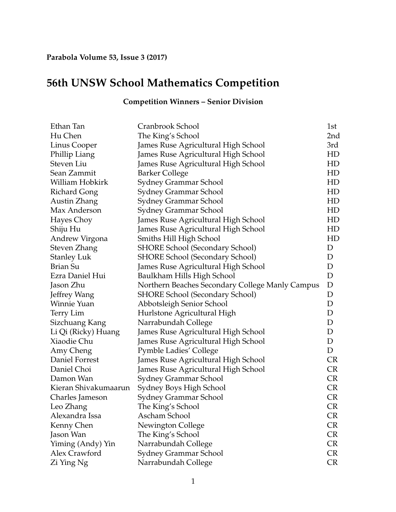## **56th UNSW School Mathematics Competition**

## **Competition Winners – Senior Division**

| Ethan Tan            | Cranbrook School                                | 1st         |
|----------------------|-------------------------------------------------|-------------|
| Hu Chen              | The King's School                               | 2nd         |
| Linus Cooper         | James Ruse Agricultural High School             | 3rd         |
| Phillip Liang        | James Ruse Agricultural High School             | HD          |
| Steven Liu           | James Ruse Agricultural High School             | HD          |
| Sean Zammit          | <b>Barker College</b>                           | HD          |
| William Hobkirk      | Sydney Grammar School                           | HD          |
| <b>Richard Gong</b>  | Sydney Grammar School                           | HD          |
| Austin Zhang         | Sydney Grammar School                           | HD          |
| Max Anderson         | <b>Sydney Grammar School</b>                    | HD          |
| Hayes Choy           | James Ruse Agricultural High School             | HD          |
| Shiju Hu             | James Ruse Agricultural High School             | HD          |
| Andrew Virgona       | Smiths Hill High School                         | HD          |
| <b>Steven Zhang</b>  | <b>SHORE School (Secondary School)</b>          | D           |
| <b>Stanley Luk</b>   | <b>SHORE School (Secondary School)</b>          | D           |
| Brian Su             | James Ruse Agricultural High School             | D           |
| Ezra Daniel Hui      | Baulkham Hills High School                      | D           |
| Jason Zhu            | Northern Beaches Secondary College Manly Campus | $\mathbf D$ |
| Jeffrey Wang         | <b>SHORE School (Secondary School)</b>          | D           |
| Winnie Yuan          | Abbotsleigh Senior School                       | D           |
| Terry Lim            | Hurlstone Agricultural High                     | $\mathbf D$ |
| Sizchuang Kang       | Narrabundah College                             | $\mathbf D$ |
| Li Qi (Ricky) Huang  | James Ruse Agricultural High School             | D           |
| Xiaodie Chu          | James Ruse Agricultural High School             | D           |
| Amy Cheng            | <b>Pymble Ladies' College</b>                   | D           |
| Daniel Forrest       | James Ruse Agricultural High School             | <b>CR</b>   |
| Daniel Choi          | James Ruse Agricultural High School             | <b>CR</b>   |
| Damon Wan            | Sydney Grammar School                           | <b>CR</b>   |
| Kieran Shivakumaarun | Sydney Boys High School                         | <b>CR</b>   |
| Charles Jameson      | Sydney Grammar School                           | <b>CR</b>   |
| Leo Zhang            | The King's School                               | <b>CR</b>   |
| Alexandra Issa       | Ascham School                                   | CR          |
| Kenny Chen           | Newington College                               | CR          |
| Jason Wan            | The King's School                               | <b>CR</b>   |
| Yiming (Andy) Yin    | Narrabundah College                             | <b>CR</b>   |
| Alex Crawford        | Sydney Grammar School                           | <b>CR</b>   |
| Zi Ying Ng           | Narrabundah College                             | CR          |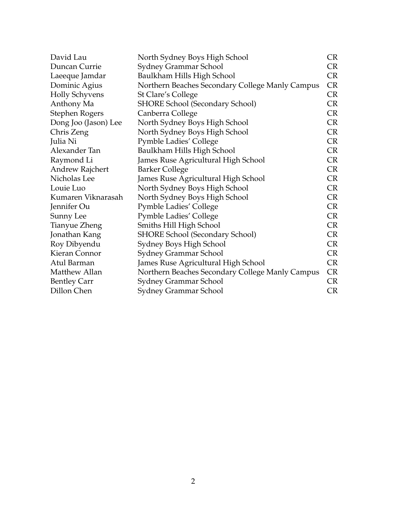| David Lau             | North Sydney Boys High School                   | CR        |
|-----------------------|-------------------------------------------------|-----------|
| Duncan Currie         | Sydney Grammar School                           | CR        |
| Laeeque Jamdar        | Baulkham Hills High School                      | CR        |
| Dominic Agius         | Northern Beaches Secondary College Manly Campus | CR        |
| <b>Holly Schyvens</b> | St Clare's College                              | CR        |
| Anthony Ma            | <b>SHORE School (Secondary School)</b>          | CR        |
| <b>Stephen Rogers</b> | Canberra College                                | CR        |
| Dong Joo (Jason) Lee  | North Sydney Boys High School                   | CR        |
| Chris Zeng            | North Sydney Boys High School                   | CR        |
| Julia Ni              | <b>Pymble Ladies' College</b>                   | CR        |
| Alexander Tan         | Baulkham Hills High School                      | <b>CR</b> |
| Raymond Li            | James Ruse Agricultural High School             | CR        |
| Andrew Rajchert       | <b>Barker College</b>                           | CR        |
| Nicholas Lee          | James Ruse Agricultural High School             | CR        |
| Louie Luo             | North Sydney Boys High School                   | CR        |
| Kumaren Viknarasah    | North Sydney Boys High School                   | CR        |
| Jennifer Ou           | <b>Pymble Ladies' College</b>                   | CR        |
| Sunny Lee             | <b>Pymble Ladies' College</b>                   | CR        |
| Tianyue Zheng         | Smiths Hill High School                         | <b>CR</b> |
| Jonathan Kang         | SHORE School (Secondary School)                 | <b>CR</b> |
| Roy Dibyendu          | Sydney Boys High School                         | CR        |
| Kieran Connor         | Sydney Grammar School                           | <b>CR</b> |
| Atul Barman           | James Ruse Agricultural High School             | <b>CR</b> |
| Matthew Allan         | Northern Beaches Secondary College Manly Campus | CR        |
| <b>Bentley Carr</b>   | Sydney Grammar School                           | <b>CR</b> |
| Dillon Chen           | Sydney Grammar School                           | CR        |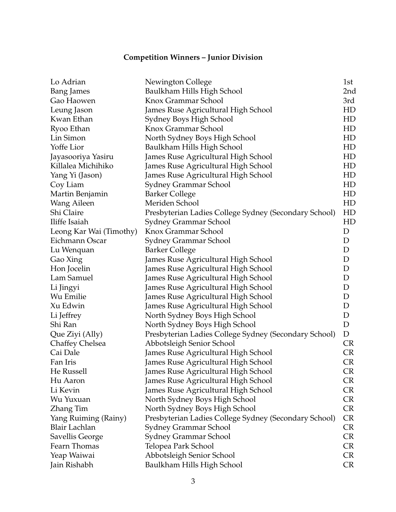## **Competition Winners – Junior Division**

| Lo Adrian               | Newington College                                     | 1st             |
|-------------------------|-------------------------------------------------------|-----------------|
| <b>Bang James</b>       | Baulkham Hills High School                            | 2 <sub>nd</sub> |
| Gao Haowen              | Knox Grammar School                                   | 3rd             |
| Leung Jason             | James Ruse Agricultural High School                   | HD              |
| Kwan Ethan              | Sydney Boys High School                               | HD              |
| Ryoo Ethan              | Knox Grammar School                                   | HD              |
| Lin Simon               | North Sydney Boys High School                         | HD              |
| Yoffe Lior              | Baulkham Hills High School                            | HD              |
| Jayasooriya Yasiru      | James Ruse Agricultural High School                   | HD              |
| Killalea Michihiko      | James Ruse Agricultural High School                   | HD              |
| Yang Yi (Jason)         | James Ruse Agricultural High School                   | HD              |
| Coy Liam                | Sydney Grammar School                                 | HD              |
| Martin Benjamin         | <b>Barker College</b>                                 | HD              |
| Wang Aileen             | Meriden School                                        | HD              |
| Shi Claire              | Presbyterian Ladies College Sydney (Secondary School) | HD              |
| Iliffe Isaiah           | Sydney Grammar School                                 | HD              |
| Leong Kar Wai (Timothy) | Knox Grammar School                                   | D               |
| Eichmann Oscar          | Sydney Grammar School                                 | D               |
| Lu Wenquan              | <b>Barker College</b>                                 | D               |
| Gao Xing                | James Ruse Agricultural High School                   | D               |
| Hon Jocelin             | James Ruse Agricultural High School                   | D               |
| Lam Samuel              | James Ruse Agricultural High School                   | D               |
| Li Jingyi               | James Ruse Agricultural High School                   | D               |
| Wu Emilie               | James Ruse Agricultural High School                   | D               |
| Xu Edwin                | James Ruse Agricultural High School                   | D               |
| Li Jeffrey              | North Sydney Boys High School                         | D               |
| Shi Ran                 | North Sydney Boys High School                         | $\mathbf D$     |
| Que Ziyi (Ally)         | Presbyterian Ladies College Sydney (Secondary School) | D               |
| <b>Chaffey Chelsea</b>  | Abbotsleigh Senior School                             | <b>CR</b>       |
| Cai Dale                | James Ruse Agricultural High School                   | CR              |
| Fan Iris                | James Ruse Agricultural High School                   | <b>CR</b>       |
| He Russell              | James Ruse Agricultural High School                   | CR              |
| Hu Aaron                | James Ruse Agricultural High School                   | CR              |
| Li Kevin                | James Ruse Agricultural High School                   | CR              |
| Wu Yuxuan               | North Sydney Boys High School                         | <b>CR</b>       |
| Zhang Tim               | North Sydney Boys High School                         | <b>CR</b>       |
| Yang Ruiming (Rainy)    | Presbyterian Ladies College Sydney (Secondary School) | <b>CR</b>       |
| Blair Lachlan           | <b>Sydney Grammar School</b>                          | <b>CR</b>       |
| Savellis George         | Sydney Grammar School                                 | <b>CR</b>       |
| Fearn Thomas            | Telopea Park School                                   | <b>CR</b>       |
| Yeap Waiwai             | Abbotsleigh Senior School                             | <b>CR</b>       |
| Jain Rishabh            | Baulkham Hills High School                            | <b>CR</b>       |